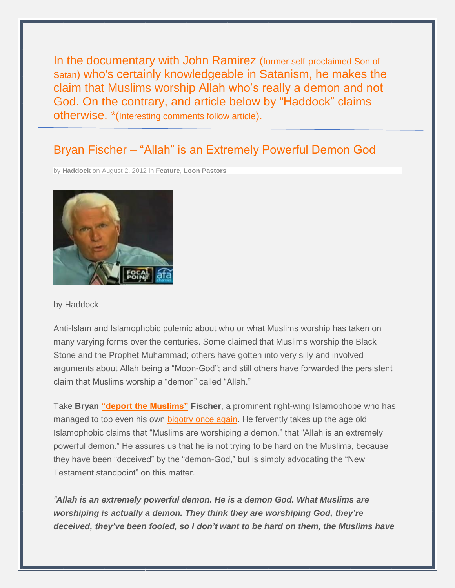In the documentary with John Ramirez (former self-proclaimed Son of Satan) who's certainly knowledgeable in Satanism, he makes the claim that Muslims worship Allah who's really a demon and not God. On the contrary, and article below by "Haddock" claims otherwise. \*(Interesting comments follow article).

# Bryan Fischer – "Allah" is an Extremely Powerful Demon God

by **[Haddock](http://loonwatch.com/files/author/haddock/)** on August 2, 2012 in **[Feature](http://loonwatch.com/files/category/feature/)**, **Loon [Pastors](http://loonwatch.com/files/category/loon-religion/loon-posters/)**



by Haddock

Anti-Islam and Islamophobic polemic about who or what Muslims worship has taken on many varying forms over the centuries. Some claimed that Muslims worship the Black Stone and the Prophet Muhammad; others have gotten into very silly and involved arguments about Allah being a "Moon-God"; and still others have forwarded the persistent claim that Muslims worship a "demon" called "Allah."

Take **Bryan "deport the [Muslims"](http://www.rightwingwatch.org/content/afas-fischer-calls-end-muslim-immigration-and-deportation-all-muslims-us) Fischer**, a prominent right-wing Islamophobe who has managed to top even his own [bigotry](http://www.rightwingwatch.org/category/people/bryan-fischer) once again. He fervently takes up the age old Islamophobic claims that "Muslims are worshiping a demon," that "Allah is an extremely powerful demon." He assures us that he is not trying to be hard on the Muslims, because they have been "deceived" by the "demon-God," but is simply advocating the "New Testament standpoint" on this matter.

*"Allah is an extremely powerful demon. He is a demon God. What Muslims are worshiping is actually a demon. They think they are worshiping God, they're deceived, they've been fooled, so I don't want to be hard on them, the Muslims have*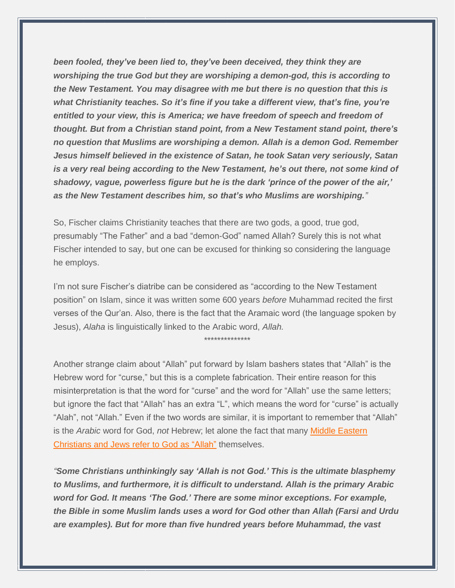*been fooled, they've been lied to, they've been deceived, they think they are worshiping the true God but they are worshiping a demon-god, this is according to the New Testament. You may disagree with me but there is no question that this is what Christianity teaches. So it's fine if you take a different view, that's fine, you're entitled to your view, this is America; we have freedom of speech and freedom of thought. But from a Christian stand point, from a New Testament stand point, there's no question that Muslims are worshiping a demon. Allah is a demon God. Remember Jesus himself believed in the existence of Satan, he took Satan very seriously, Satan is a very real being according to the New Testament, he's out there, not some kind of shadowy, vague, powerless figure but he is the dark 'prince of the power of the air,' as the New Testament describes him, so that's who Muslims are worshiping."*

So, Fischer claims Christianity teaches that there are two gods, a good, true god, presumably "The Father" and a bad "demon-God" named Allah? Surely this is not what Fischer intended to say, but one can be excused for thinking so considering the language he employs.

I'm not sure Fischer's diatribe can be considered as "according to the New Testament position" on Islam, since it was written some 600 years *before* Muhammad recited the first verses of the Qur'an. Also, there is the fact that the Aramaic word (the language spoken by Jesus), *Alaha* is linguistically linked to the Arabic word, *Allah.*

\*\*\*\*\*\*\*\*\*\*\*\*\*\*

Another strange claim about "Allah" put forward by Islam bashers states that "Allah" is the Hebrew word for "curse," but this is a complete fabrication. Their entire reason for this misinterpretation is that the word for "curse" and the word for "Allah" use the same letters; but ignore the fact that "Allah" has an extra "L", which means the word for "curse" is actually "Alah", not "Allah." Even if the two words are similar, it is important to remember that "Allah" is the *Arabic* word for God, *not* Hebrew; let alone the fact that many Middle [Eastern](http://www.christiananswers.net/q-eden/allah.html) [Christians](http://www.christiananswers.net/q-eden/allah.html) and Jews refer to God as "Allah" themselves.

*"Some Christians unthinkingly say 'Allah is not God.' This is the ultimate blasphemy to Muslims, and furthermore, it is difficult to understand. Allah is the primary Arabic word for God. It means 'The God.' There are some minor exceptions. For example, the Bible in some Muslim lands uses a word for God other than Allah (Farsi and Urdu are examples). But for more than five hundred years before Muhammad, the vast*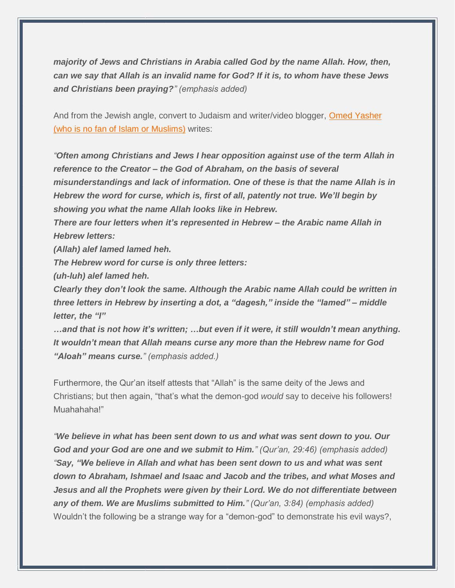*majority of Jews and Christians in Arabia called God by the name Allah. How, then, can we say that Allah is an invalid name for God? If it is, to whom have these Jews and Christians been praying?" (emphasis added)*

And from the Jewish angle, convert to Judaism and writer/video blogger, Omed [Yasher](http://webcache.googleusercontent.com/search?q=cache:5zP2k6HuPncJ:abrahamsfaith.blogspot.com/2011/03/allah-god-of-ishmael-god-of-israel.html+http://abrahamsfaith.blogspot.com/2011/03/allah-god-of-ishmael-god-of-israel.html&cd=1&hl=en&ct=clnk&gl=us&client=safari) (who is no fan of Islam or [Muslims\)](http://webcache.googleusercontent.com/search?q=cache:5zP2k6HuPncJ:abrahamsfaith.blogspot.com/2011/03/allah-god-of-ishmael-god-of-israel.html+http://abrahamsfaith.blogspot.com/2011/03/allah-god-of-ishmael-god-of-israel.html&cd=1&hl=en&ct=clnk&gl=us&client=safari) writes:

*"Often among Christians and Jews I hear opposition against use of the term Allah in reference to the Creator – the God of Abraham, on the basis of several misunderstandings and lack of information. One of these is that the name Allah is in Hebrew the word for curse, which is, first of all, patently not true. We'll begin by showing you what the name Allah looks like in Hebrew.*

*There are four letters when it's represented in Hebrew – the Arabic name Allah in Hebrew letters:*

*(Allah) alef lamed lamed heh.*

*The Hebrew word for curse is only three letters:*

*(uh-luh) alef lamed heh.*

*Clearly they don't look the same. Although the Arabic name Allah could be written in three letters in Hebrew by inserting a dot, a "dagesh," inside the "lamed" – middle letter, the "l"*

*…and that is not how it's written; …but even if it were, it still wouldn't mean anything. It wouldn't mean that Allah means curse any more than the Hebrew name for God "Aloah" means curse." (emphasis added.)*

Furthermore, the Qur'an itself attests that "Allah" is the same deity of the Jews and Christians; but then again, "that's what the demon-god *would* say to deceive his followers! Muahahaha!"

*"We believe in what has been sent down to us and what was sent down to you. Our God and your God are one and we submit to Him." (Qur'an, 29:46) (emphasis added) "Say, "We believe in Allah and what has been sent down to us and what was sent down to Abraham, Ishmael and Isaac and Jacob and the tribes, and what Moses and Jesus and all the Prophets were given by their Lord. We do not differentiate between any of them. We are Muslims submitted to Him." (Qur'an, 3:84) (emphasis added)* Wouldn't the following be a strange way for a "demon-god" to demonstrate his evil ways?,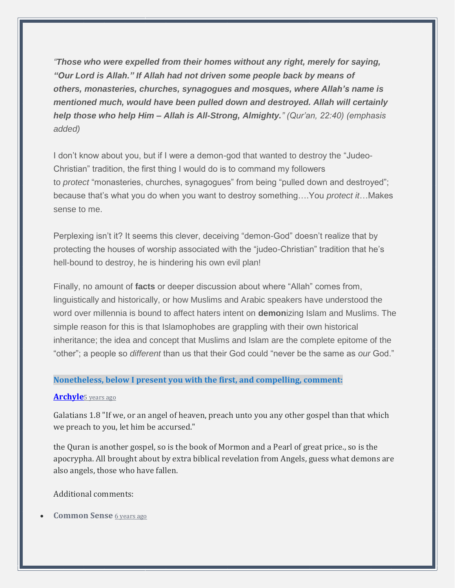*"Those who were expelled from their homes without any right, merely for saying, "Our Lord is Allah." If Allah had not driven some people back by means of others, monasteries, churches, synagogues and mosques, where Allah's name is mentioned much, would have been pulled down and destroyed. Allah will certainly help those who help Him – Allah is All-Strong, Almighty." (Qur'an, 22:40) (emphasis added)*

I don't know about you, but if I were a demon-god that wanted to destroy the "Judeo-Christian" tradition, the first thing I would do is to command my followers to *protect* "monasteries, churches, synagogues" from being "pulled down and destroyed"; because that's what you do when you want to destroy something….You *protect it*…Makes sense to me.

Perplexing isn't it? It seems this clever, deceiving "demon-God" doesn't realize that by protecting the houses of worship associated with the "judeo-Christian" tradition that he's hell-bound to destroy, he is hindering his own evil plan!

Finally, no amount of **facts** or deeper discussion about where "Allah" comes from, linguistically and historically, or how Muslims and Arabic speakers have understood the word over millennia is bound to affect haters intent on **demon**izing Islam and Muslims. The simple reason for this is that Islamophobes are grappling with their own historical inheritance; the idea and concept that Muslims and Islam are the complete epitome of the "other"; a people so *different* than us that their God could "never be the same as *our* God."

## **Nonetheless, below I present you with the first, and compelling, comment:**

## **[Archyle](https://disqus.com/by/Archyle/)**5 [years](http://loonwatch.com/files/2012/08/bryan-fischer-allah-is-an-extremely-powerful-demon-god/#comment-854621180) ago

Galatians 1.8 "If we, or an angel of heaven, preach unto you any other gospel than that which we preach to you, let him be accursed."

the Quran is another gospel, so is the book of Mormon and a Pearl of great price., so is the apocrypha. All brought about by extra biblical revelation from Angels, guess what demons are also angels, those who have fallen.

Additional comments:

# • **Common Sense** 6 [years](http://loonwatch.com/files/2012/08/bryan-fischer-allah-is-an-extremely-powerful-demon-god/#comment-729748307) ago